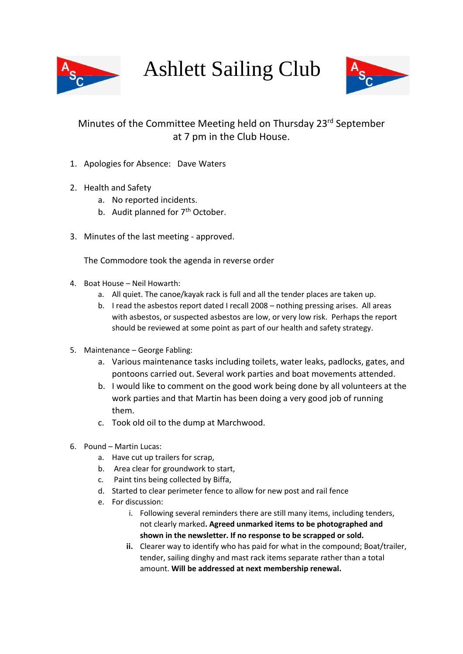

Ashlett Sailing Club



## Minutes of the Committee Meeting held on Thursday 23<sup>rd</sup> September at 7 pm in the Club House.

- 1. Apologies for Absence: Dave Waters
- 2. Health and Safety
	- a. No reported incidents.
	- b. Audit planned for  $7<sup>th</sup>$  October.
- 3. Minutes of the last meeting approved.

The Commodore took the agenda in reverse order

- 4. Boat House Neil Howarth:
	- a. All quiet. The canoe/kayak rack is full and all the tender places are taken up.
	- b. I read the asbestos report dated I recall 2008 nothing pressing arises. All areas with asbestos, or suspected asbestos are low, or very low risk. Perhaps the report should be reviewed at some point as part of our health and safety strategy.
- 5. Maintenance George Fabling:
	- a. Various maintenance tasks including toilets, water leaks, padlocks, gates, and pontoons carried out. Several work parties and boat movements attended.
	- b. I would like to comment on the good work being done by all volunteers at the work parties and that Martin has been doing a very good job of running them.
	- c. Took old oil to the dump at Marchwood.
- 6. Pound Martin Lucas:
	- a. Have cut up trailers for scrap,
	- b. Area clear for groundwork to start,
	- c. Paint tins being collected by Biffa,
	- d. Started to clear perimeter fence to allow for new post and rail fence
	- e. For discussion:
		- i. Following several reminders there are still many items, including tenders, not clearly marked**. Agreed unmarked items to be photographed and shown in the newsletter. If no response to be scrapped or sold.**
		- **ii.** Clearer way to identify who has paid for what in the compound; Boat/trailer, tender, sailing dinghy and mast rack items separate rather than a total amount. **Will be addressed at next membership renewal.**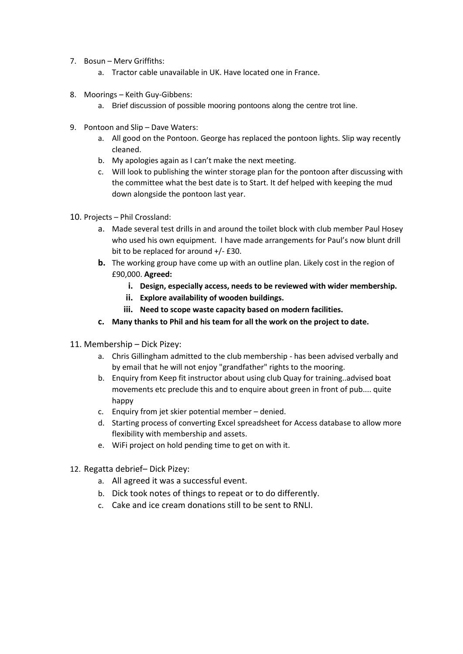- 7. Bosun Merv Griffiths:
	- a. Tractor cable unavailable in UK. Have located one in France.
- 8. Moorings Keith Guy-Gibbens:
	- a. Brief discussion of possible mooring pontoons along the centre trot line.
- 9. Pontoon and Slip Dave Waters:
	- a. All good on the Pontoon. George has replaced the pontoon lights. Slip way recently cleaned.
	- b. My apologies again as I can't make the next meeting.
	- c. Will look to publishing the winter storage plan for the pontoon after discussing with the committee what the best date is to Start. It def helped with keeping the mud down alongside the pontoon last year.
- 10. Projects Phil Crossland:
	- a. Made several test drills in and around the toilet block with club member Paul Hosey who used his own equipment. I have made arrangements for Paul's now blunt drill bit to be replaced for around +/- £30.
	- **b.** The working group have come up with an outline plan. Likely cost in the region of £90,000. **Agreed:**
		- **i. Design, especially access, needs to be reviewed with wider membership.**
		- **ii. Explore availability of wooden buildings.**
		- **iii. Need to scope waste capacity based on modern facilities.**
	- **c. Many thanks to Phil and his team for all the work on the project to date.**
- 11. Membership Dick Pizey:
	- a. Chris Gillingham admitted to the club membership has been advised verbally and by email that he will not enjoy "grandfather" rights to the mooring.
	- b. Enquiry from Keep fit instructor about using club Quay for training..advised boat movements etc preclude this and to enquire about green in front of pub.... quite happy
	- c. Enquiry from jet skier potential member denied.
	- d. Starting process of converting Excel spreadsheet for Access database to allow more flexibility with membership and assets.
	- e. WiFi project on hold pending time to get on with it.
- 12. Regatta debrief– Dick Pizey:
	- a. All agreed it was a successful event.
	- b. Dick took notes of things to repeat or to do differently.
	- c. Cake and ice cream donations still to be sent to RNLI.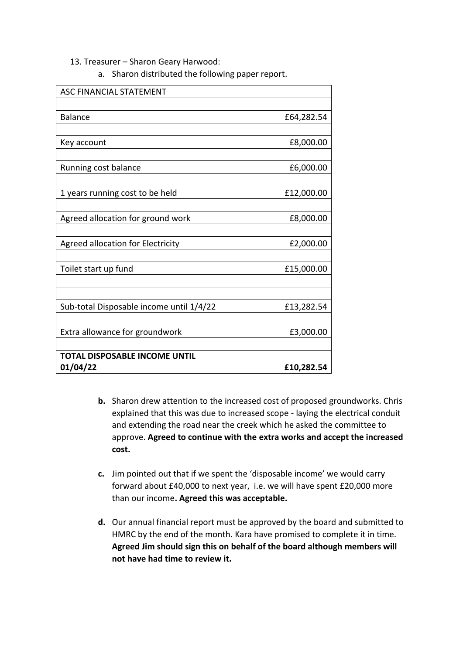## 13. Treasurer – Sharon Geary Harwood:

a. Sharon distributed the following paper report.

| <b>ASC FINANCIAL STATEMENT</b>           |            |
|------------------------------------------|------------|
|                                          |            |
| <b>Balance</b>                           | £64,282.54 |
|                                          |            |
| Key account                              | £8,000.00  |
|                                          |            |
| Running cost balance                     | £6,000.00  |
|                                          |            |
| 1 years running cost to be held          | £12,000.00 |
|                                          |            |
| Agreed allocation for ground work        | £8,000.00  |
|                                          |            |
| <b>Agreed allocation for Electricity</b> | £2,000.00  |
|                                          |            |
| Toilet start up fund                     | £15,000.00 |
|                                          |            |
|                                          |            |
| Sub-total Disposable income until 1/4/22 | £13,282.54 |
|                                          |            |
| Extra allowance for groundwork           | £3,000.00  |
|                                          |            |
| TOTAL DISPOSABLE INCOME UNTIL            |            |
| 01/04/22                                 | £10,282.54 |

- **b.** Sharon drew attention to the increased cost of proposed groundworks. Chris explained that this was due to increased scope - laying the electrical conduit and extending the road near the creek which he asked the committee to approve. **Agreed to continue with the extra works and accept the increased cost.**
- **c.** Jim pointed out that if we spent the 'disposable income' we would carry forward about £40,000 to next year, i.e. we will have spent £20,000 more than our income**. Agreed this was acceptable.**
- **d.** Our annual financial report must be approved by the board and submitted to HMRC by the end of the month. Kara have promised to complete it in time. **Agreed Jim should sign this on behalf of the board although members will not have had time to review it.**